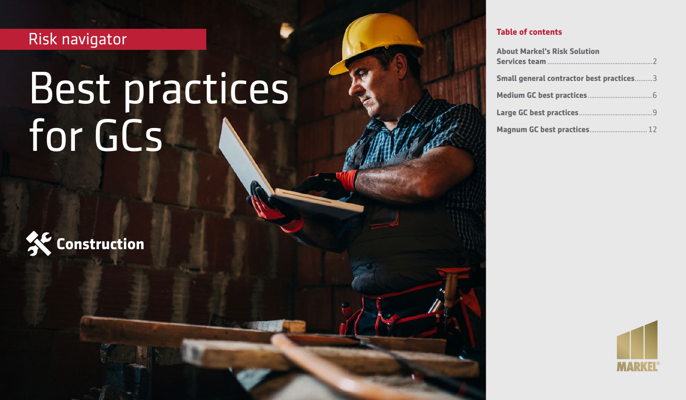Risk navigator

# Best practices 8 **Environmental** for GCs



| <b>About Markel's Risk Solution</b>      |
|------------------------------------------|
|                                          |
| Small general contractor best practices3 |
|                                          |
|                                          |
| Magnum GC best practices 12              |

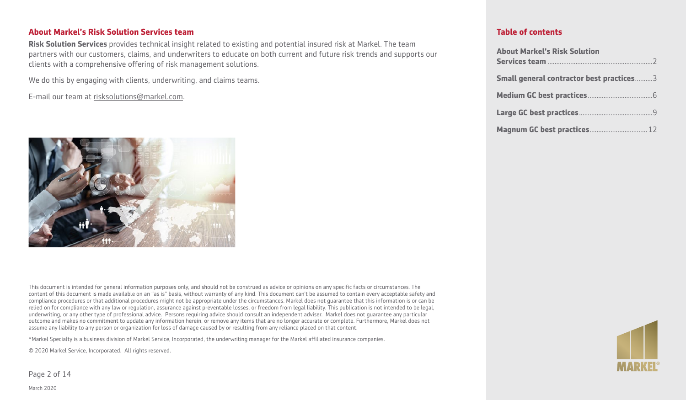#### **About Markel's Risk Solution Services team**

**Risk Solution Services** provides technical insight related to existing and potential insured risk at Markel. The team partners with our customers, claims, and underwriters to educate on both current and future risk trends and supports our clients with a comprehensive offering of risk management solutions.

We do this by engaging with clients, underwriting, and claims teams.

E-mail our team at [risksolutions@markel.com](mailto:risksolutions@markel.com).



This document is intended for general information purposes only, and should not be construed as advice or opinions on any specific facts or circumstances. The content of this document is made available on an "as is" basis, without warranty of any kind. This document can't be assumed to contain every acceptable safety and compliance procedures or that additional procedures might not be appropriate under the circumstances. Markel does not guarantee that this information is or can be relied on for compliance with any law or regulation, assurance against preventable losses, or freedom from legal liability. This publication is not intended to be legal, underwriting, or any other type of professional advice. Persons requiring advice should consult an independent adviser. Markel does not guarantee any particular outcome and makes no commitment to update any information herein, or remove any items that are no longer accurate or complete. Furthermore, Markel does not assume any liability to any person or organization for loss of damage caused by or resulting from any reliance placed on that content.

\*Markel Specialty is a business division of Markel Service, Incorporated, the underwriting manager for the Markel affiliated insurance companies.

© 2020 Markel Service, Incorporated. All rights reserved.

Page 2 of 14

#### **Table of contents**

| <b>About Markel's Risk Solution</b>      |  |
|------------------------------------------|--|
| Small general contractor best practices3 |  |
|                                          |  |
|                                          |  |
|                                          |  |



March 2020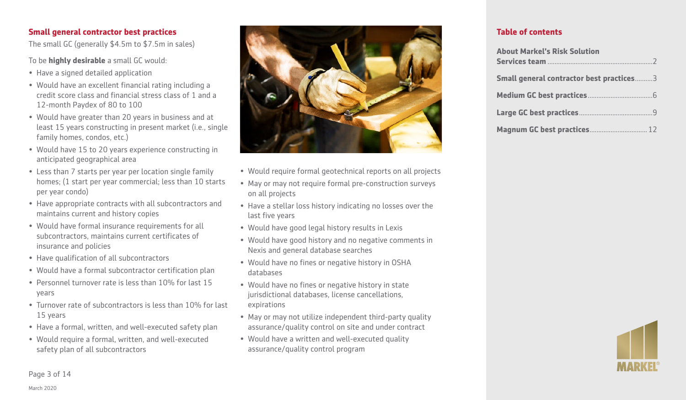# **Small general contractor best practices**

The small GC (generally \$4.5m to \$7.5m in sales)

To be **highly desirable** a small GC would:

- Have a signed detailed application
- Would have an excellent financial rating including a credit score class and financial stress class of 1 and a 12-month Paydex of 80 to 100
- Would have greater than 20 years in business and at least 15 years constructing in present market (i.e., single family homes, condos, etc.)
- Would have 15 to 20 years experience constructing in anticipated geographical area
- Less than 7 starts per year per location single family homes; (1 start per year commercial; less than 10 starts per year condo)
- Have appropriate contracts with all subcontractors and maintains current and history copies
- Would have formal insurance requirements for all subcontractors, maintains current certificates of insurance and policies
- Have qualification of all subcontractors
- Would have a formal subcontractor certification plan
- Personnel turnover rate is less than 10% for last 15 years
- Turnover rate of subcontractors is less than 10% for last 15 years
- Have a formal, written, and well-executed safety plan
- Would require a formal, written, and well-executed safety plan of all subcontractors



- Would require formal geotechnical reports on all projects
- May or may not require formal pre-construction surveys on all projects
- Have a stellar loss history indicating no losses over the last five years
- Would have good legal history results in Lexis
- Would have good history and no negative comments in Nexis and general database searches
- Would have no fines or negative history in OSHA databases
- Would have no fines or negative history in state jurisdictional databases, license cancellations, expirations
- May or may not utilize independent third-party quality assurance/quality control on site and under contract
- Would have a written and well-executed quality assurance/quality control program

### **Table of contents**

| <b>About Markel's Risk Solution</b>             |
|-------------------------------------------------|
|                                                 |
| <b>Small general contractor best practices3</b> |
|                                                 |
|                                                 |
| Magnum GC best practices 12                     |



#### Page 3 of 14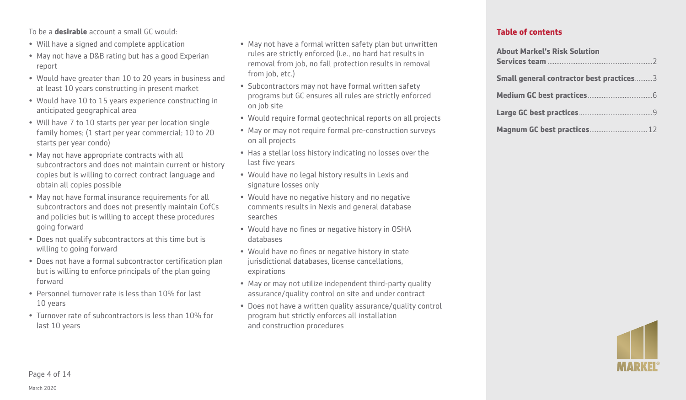To be a **desirable** account a small GC would:

- Will have a signed and complete application
- May not have a D&B rating but has a good Experian report
- Would have greater than 10 to 20 years in business and at least 10 years constructing in present market
- Would have 10 to 15 years experience constructing in anticipated geographical area
- Will have 7 to 10 starts per year per location single family homes; (1 start per year commercial; 10 to 20 starts per year condo)
- May not have appropriate contracts with all subcontractors and does not maintain current or history copies but is willing to correct contract language and obtain all copies possible
- May not have formal insurance requirements for all subcontractors and does not presently maintain CofCs and policies but is willing to accept these procedures going forward
- Does not qualify subcontractors at this time but is willing to going forward
- Does not have a formal subcontractor certification plan but is willing to enforce principals of the plan going forward
- Personnel turnover rate is less than 10% for last 10 years
- Turnover rate of subcontractors is less than 10% for last 10 years
- May not have a formal written safety plan but unwritten rules are strictly enforced (i.e., no hard hat results in removal from job, no fall protection results in removal from job, etc.)
- Subcontractors may not have formal written safety programs but GC ensures all rules are strictly enforced on job site
- Would require formal geotechnical reports on all projects
- May or may not require formal pre-construction surveys on all projects
- Has a stellar loss history indicating no losses over the last five years
- Would have no legal history results in Lexis and signature losses only
- Would have no negative history and no negative comments results in Nexis and general database searches
- Would have no fines or negative history in OSHA databases
- Would have no fines or negative history in state jurisdictional databases, license cancellations, expirations
- May or may not utilize independent third-party quality assurance/quality control on site and under contract
- Does not have a written quality assurance/quality control program but strictly enforces all installation and construction procedures

| <b>About Markel's Risk Solution</b>      |  |
|------------------------------------------|--|
|                                          |  |
| Small general contractor best practices3 |  |
|                                          |  |
|                                          |  |
| Magnum GC best practices 12              |  |

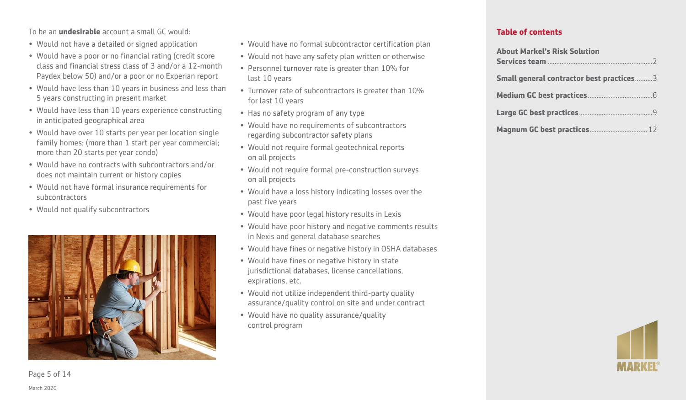To be an **undesirable** account a small GC would:

- Would not have a detailed or signed application
- Would have a poor or no financial rating (credit score class and financial stress class of 3 and/or a 12-month Paydex below 50) and/or a poor or no Experian report
- Would have less than 10 years in business and less than 5 years constructing in present market
- Would have less than 10 years experience constructing in anticipated geographical area
- Would have over 10 starts per year per location single family homes; (more than 1 start per year commercial; more than 20 starts per year condo)
- Would have no contracts with subcontractors and/or does not maintain current or history copies
- Would not have formal insurance requirements for subcontractors
- Would not qualify subcontractors



- Would have no formal subcontractor certification plan
- Would not have any safety plan written or otherwise
- Personnel turnover rate is greater than 10% for last 10 years
- Turnover rate of subcontractors is greater than 10% for last 10 years
- Has no safety program of any type
- Would have no requirements of subcontractors regarding subcontractor safety plans
- Would not require formal geotechnical reports on all projects
- Would not require formal pre-construction surveys on all projects
- Would have a loss history indicating losses over the past five years
- Would have poor legal history results in Lexis
- Would have poor history and negative comments results in Nexis and general database searches
- Would have fines or negative history in OSHA databases
- Would have fines or negative history in state jurisdictional databases, license cancellations, expirations, etc.
- Would not utilize independent third-party quality assurance/quality control on site and under contract
- Would have no quality assurance/quality control program

#### **Table of contents**

| <b>About Markel's Risk Solution</b>      |
|------------------------------------------|
| Small general contractor best practices3 |
|                                          |
|                                          |
| Magnum GC best practices 12              |



Page 5 of 14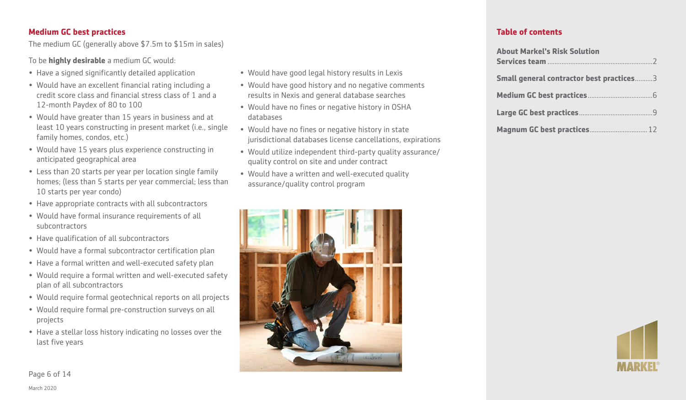# **Medium GC best practices**

The medium GC (generally above \$7.5m to \$15m in sales)

To be **highly desirable** a medium GC would:

- Have a signed significantly detailed application
- Would have an excellent financial rating including a credit score class and financial stress class of 1 and a 12-month Paydex of 80 to 100
- Would have greater than 15 years in business and at least 10 years constructing in present market (i.e., single family homes, condos, etc.)
- Would have 15 years plus experience constructing in anticipated geographical area
- Less than 20 starts per year per location single family homes; (less than 5 starts per year commercial; less than 10 starts per year condo)
- Have appropriate contracts with all subcontractors
- Would have formal insurance requirements of all subcontractors
- Have qualification of all subcontractors
- Would have a formal subcontractor certification plan
- Have a formal written and well-executed safety plan
- Would require a formal written and well-executed safety plan of all subcontractors
- Would require formal geotechnical reports on all projects
- Would require formal pre-construction surveys on all projects
- Have a stellar loss history indicating no losses over the last five years
- Would have good legal history results in Lexis
- Would have good history and no negative comments results in Nexis and general database searches
- Would have no fines or negative history in OSHA databases
- Would have no fines or negative history in state jurisdictional databases license cancellations, expirations
- Would utilize independent third-party quality assurance/ quality control on site and under contract
- Would have a written and well-executed quality assurance/quality control program



## **Table of contents**

| <b>About Markel's Risk Solution</b>      |
|------------------------------------------|
| Small general contractor best practices3 |
|                                          |
|                                          |
| Magnum GC best practices 12              |



Page 6 of 14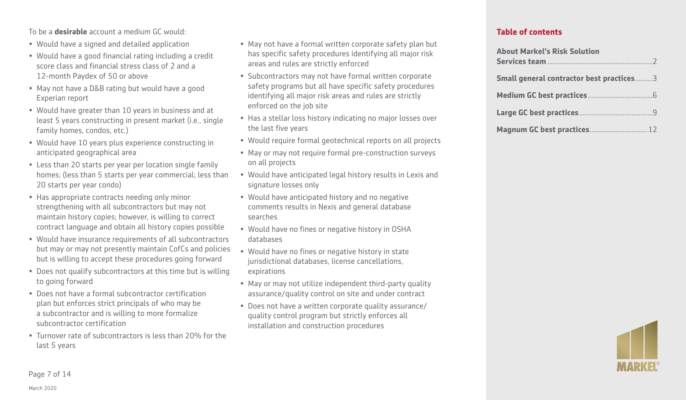To be a **desirable** account a medium GC would:

- Would have a signed and detailed application
- Would have a good financial rating including a credit score class and financial stress class of 2 and a 12-month Paydex of 50 or above
- May not have a D&B rating but would have a good Experian report
- Would have greater than 10 years in business and at least 5 years constructing in present market (i.e., single family homes, condos, etc.)
- Would have 10 years plus experience constructing in anticipated geographical area
- Less than 20 starts per year per location single family homes; (less than 5 starts per year commercial; less than 20 starts per year condo)
- Has appropriate contracts needing only minor strengthening with all subcontractors but may not maintain history copies; however, is willing to correct contract language and obtain all history copies possible
- Would have insurance requirements of all subcontractors but may or may not presently maintain CofCs and policies but is willing to accept these procedures going forward
- Does not qualify subcontractors at this time but is willing to going forward
- Does not have a formal subcontractor certification plan but enforces strict principals of who may be a subcontractor and is willing to more formalize subcontractor certification
- Turnover rate of subcontractors is less than 20% for the last 5 years
- May not have a formal written corporate safety plan but has specific safety procedures identifying all major risk areas and rules are strictly enforced
- Subcontractors may not have formal written corporate safety programs but all have specific safety procedures identifying all major risk areas and rules are strictly enforced on the job site
- Has a stellar loss history indicating no major losses over the last five years
- Would require formal geotechnical reports on all projects
- May or may not require formal pre-construction surveys on all projects
- Would have anticipated legal history results in Lexis and signature losses only
- Would have anticipated history and no negative comments results in Nexis and general database searches
- Would have no fines or negative history in OSHA databases
- Would have no fines or negative history in state jurisdictional databases, license cancellations, expirations
- May or may not utilize independent third-party quality assurance/quality control on site and under contract
- Does not have a written corporate quality assurance/ quality control program but strictly enforces all installation and construction procedures

| <b>About Markel's Risk Solution</b>      |  |
|------------------------------------------|--|
| Small general contractor best practices3 |  |
|                                          |  |
|                                          |  |
| Magnum GC best practices 12              |  |

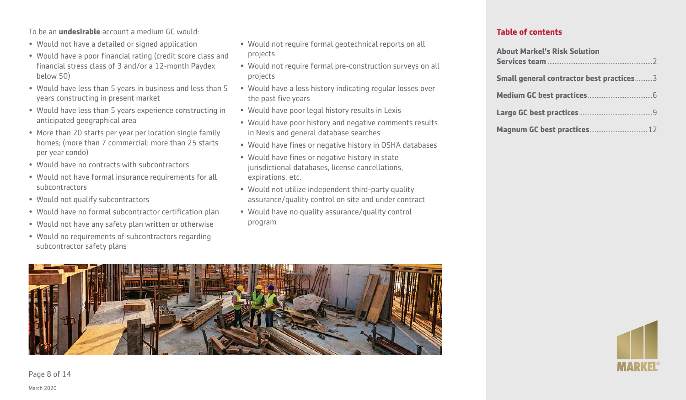To be an **undesirable** account a medium GC would:

- Would not have a detailed or signed application
- Would have a poor financial rating (credit score class and financial stress class of 3 and/or a 12-month Paydex below 50)
- Would have less than 5 years in business and less than 5 years constructing in present market
- Would have less than 5 years experience constructing in anticipated geographical area
- More than 20 starts per year per location single family homes; (more than 7 commercial; more than 25 starts per year condo)
- Would have no contracts with subcontractors
- Would not have formal insurance requirements for all subcontractors
- Would not qualify subcontractors
- Would have no formal subcontractor certification plan
- Would not have any safety plan written or otherwise
- Would no requirements of subcontractors regarding subcontractor safety plans
- Would not require formal geotechnical reports on all projects
- Would not require formal pre-construction surveys on all projects
- Would have a loss history indicating regular losses over the past five years
- Would have poor legal history results in Lexis
- Would have poor history and negative comments results in Nexis and general database searches
- Would have fines or negative history in OSHA databases
- Would have fines or negative history in state jurisdictional databases, license cancellations, expirations, etc.
- Would not utilize independent third-party quality assurance/quality control on site and under contract
- Would have no quality assurance/quality control program

#### **Table of contents**

| <b>About Markel's Risk Solution</b>      |
|------------------------------------------|
|                                          |
| Small general contractor best practices3 |
|                                          |
|                                          |
| Magnum GC best practices 12              |





Page 8 of 14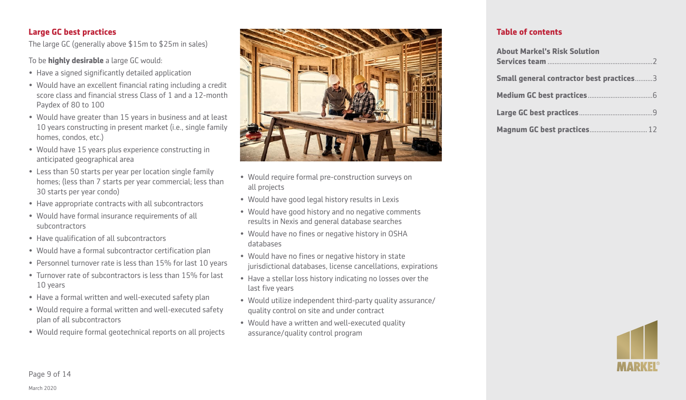# **Large GC best practices**

The large GC (generally above \$15m to \$25m in sales)

To be **highly desirable** a large GC would:

- Have a signed significantly detailed application
- Would have an excellent financial rating including a credit score class and financial stress Class of 1 and a 12-month Paydex of 80 to 100
- Would have greater than 15 years in business and at least 10 years constructing in present market (i.e., single family homes, condos, etc.)
- Would have 15 years plus experience constructing in anticipated geographical area
- Less than 50 starts per year per location single family homes; (less than 7 starts per year commercial; less than 30 starts per year condo)
- Have appropriate contracts with all subcontractors
- Would have formal insurance requirements of all subcontractors
- Have qualification of all subcontractors
- Would have a formal subcontractor certification plan
- Personnel turnover rate is less than 15% for last 10 years
- Turnover rate of subcontractors is less than 15% for last 10 years
- Have a formal written and well-executed safety plan
- Would require a formal written and well-executed safety plan of all subcontractors
- Would require formal geotechnical reports on all projects



- Would require formal pre-construction surveys on all projects
- Would have good legal history results in Lexis
- Would have good history and no negative comments results in Nexis and general database searches
- Would have no fines or negative history in OSHA databases
- Would have no fines or negative history in state jurisdictional databases, license cancellations, expirations
- Have a stellar loss history indicating no losses over the last five years
- Would utilize independent third-party quality assurance/ quality control on site and under contract
- Would have a written and well-executed quality assurance/quality control program

| <b>About Markel's Risk Solution</b>      |
|------------------------------------------|
| Small general contractor best practices3 |
|                                          |
|                                          |
| Magnum GC best practices 12              |

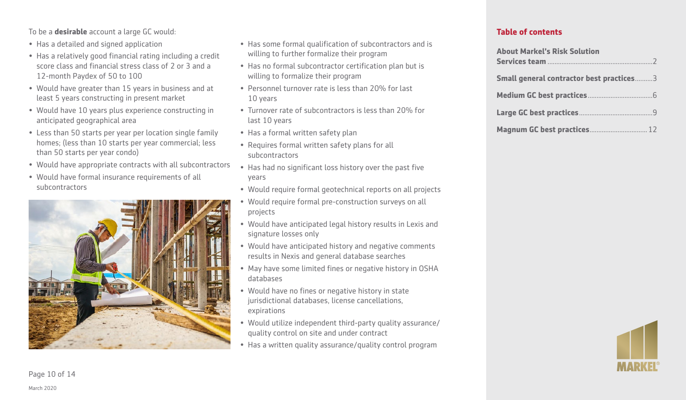To be a **desirable** account a large GC would:

- Has a detailed and signed application
- Has a relatively good financial rating including a credit score class and financial stress class of 2 or 3 and a 12-month Paydex of 50 to 100
- Would have greater than 15 years in business and at least 5 years constructing in present market
- Would have 10 years plus experience constructing in anticipated geographical area
- Less than 50 starts per year per location single family homes; (less than 10 starts per year commercial; less than 50 starts per year condo)
- Would have appropriate contracts with all subcontractors
- Would have formal insurance requirements of all subcontractors



- Has some formal qualification of subcontractors and is willing to further formalize their program
- Has no formal subcontractor certification plan but is willing to formalize their program
- Personnel turnover rate is less than 20% for last 10 years
- Turnover rate of subcontractors is less than 20% for last 10 years
- Has a formal written safety plan
- Requires formal written safety plans for all subcontractors
- Has had no significant loss history over the past five years
- Would require formal geotechnical reports on all projects
- Would require formal pre-construction surveys on all projects
- Would have anticipated legal history results in Lexis and signature losses only
- Would have anticipated history and negative comments results in Nexis and general database searches
- May have some limited fines or negative history in OSHA databases
- Would have no fines or negative history in state jurisdictional databases, license cancellations, expirations
- Would utilize independent third-party quality assurance/ quality control on site and under contract
- Has a written quality assurance/quality control program

#### **Table of contents**

| <b>About Markel's Risk Solution</b>      |  |
|------------------------------------------|--|
| Small general contractor best practices3 |  |
|                                          |  |
|                                          |  |
| Magnum GC best practices 12              |  |



March 2020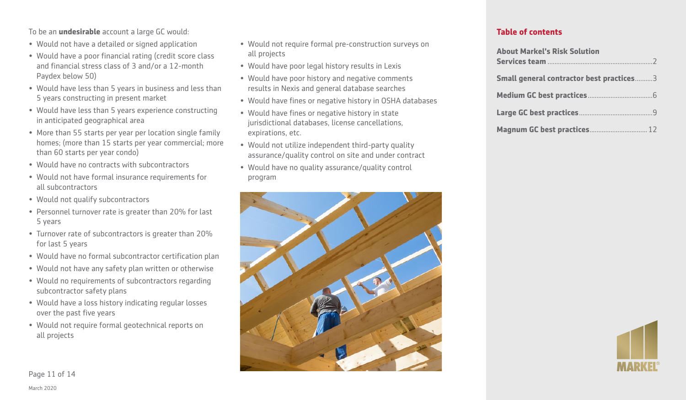To be an **undesirable** account a large GC would:

- Would not have a detailed or signed application
- Would have a poor financial rating (credit score class and financial stress class of 3 and/or a 12-month Paydex below 50)
- Would have less than 5 years in business and less than 5 years constructing in present market
- Would have less than 5 years experience constructing in anticipated geographical area
- More than 55 starts per year per location single family homes; (more than 15 starts per year commercial; more than 60 starts per year condo)
- Would have no contracts with subcontractors
- Would not have formal insurance requirements for all subcontractors
- Would not qualify subcontractors
- Personnel turnover rate is greater than 20% for last 5 years
- Turnover rate of subcontractors is greater than 20% for last 5 years
- Would have no formal subcontractor certification plan
- Would not have any safety plan written or otherwise
- Would no requirements of subcontractors regarding subcontractor safety plans
- Would have a loss history indicating regular losses over the past five years
- Would not require formal geotechnical reports on all projects
- Would not require formal pre-construction surveys on all projects
- Would have poor legal history results in Lexis
- Would have poor history and negative comments results in Nexis and general database searches
- Would have fines or negative history in OSHA databases
- Would have fines or negative history in state jurisdictional databases, license cancellations, expirations, etc.
- Would not utilize independent third-party quality assurance/quality control on site and under contract
- Would have no quality assurance/quality control program



#### **Table of contents**

| <b>About Markel's Risk Solution</b>      |
|------------------------------------------|
| Small general contractor best practices3 |
|                                          |
|                                          |
| Magnum GC best practices 12              |



Page 11 of 14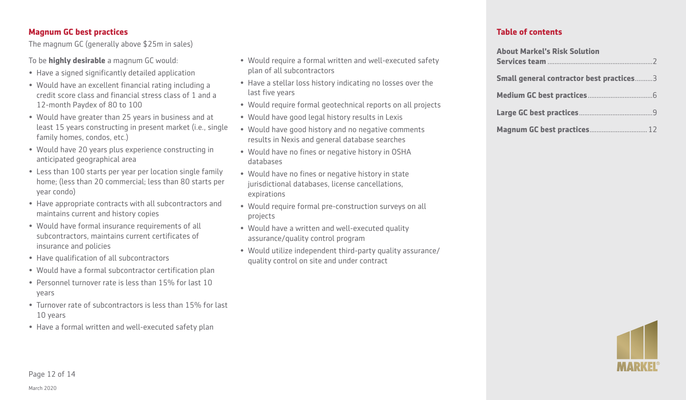## **Magnum GC best practices**

The magnum GC (generally above \$25m in sales)

To be **highly desirable** a magnum GC would:

- Have a signed significantly detailed application
- Would have an excellent financial rating including a credit score class and financial stress class of 1 and a 12-month Paydex of 80 to 100
- Would have greater than 25 years in business and at least 15 years constructing in present market (i.e., single family homes, condos, etc.)
- Would have 20 years plus experience constructing in anticipated geographical area
- Less than 100 starts per year per location single family home; (less than 20 commercial; less than 80 starts per year condo)
- Have appropriate contracts with all subcontractors and maintains current and history copies
- Would have formal insurance requirements of all subcontractors, maintains current certificates of insurance and policies
- Have qualification of all subcontractors
- Would have a formal subcontractor certification plan
- Personnel turnover rate is less than 15% for last 10 years
- Turnover rate of subcontractors is less than 15% for last 10 years
- Have a formal written and well-executed safety plan
- Would require a formal written and well-executed safety plan of all subcontractors
- Have a stellar loss history indicating no losses over the last five years
- Would require formal geotechnical reports on all projects
- Would have good legal history results in Lexis
- Would have good history and no negative comments results in Nexis and general database searches
- Would have no fines or negative history in OSHA databases
- Would have no fines or negative history in state jurisdictional databases, license cancellations, expirations
- Would require formal pre-construction surveys on all projects
- Would have a written and well-executed quality assurance/quality control program
- Would utilize independent third-party quality assurance/ quality control on site and under contract

#### **Table of contents**

| <b>About Markel's Risk Solution</b>      |
|------------------------------------------|
| Small general contractor best practices3 |
|                                          |
|                                          |
| Magnum GC best practices 12              |



March 2020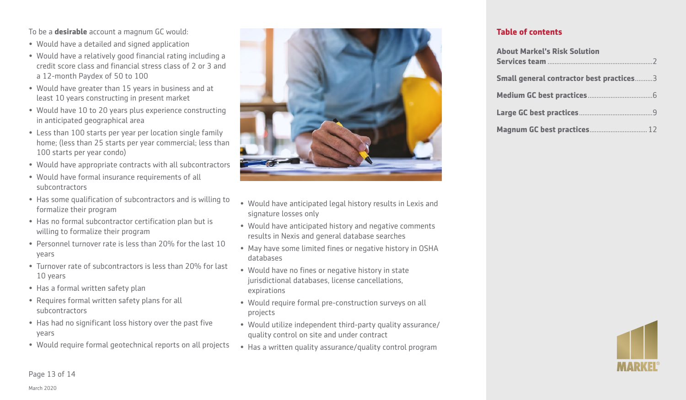To be a **desirable** account a magnum GC would:

- Would have a detailed and signed application
- Would have a relatively good financial rating including a credit score class and financial stress class of 2 or 3 and a 12-month Paydex of 50 to 100
- Would have greater than 15 years in business and at least 10 years constructing in present market
- Would have 10 to 20 years plus experience constructing in anticipated geographical area
- Less than 100 starts per year per location single family home; (less than 25 starts per year commercial; less than 100 starts per year condo)
- Would have appropriate contracts with all subcontractors
- Would have formal insurance requirements of all subcontractors
- Has some qualification of subcontractors and is willing to formalize their program
- Has no formal subcontractor certification plan but is willing to formalize their program
- Personnel turnover rate is less than 20% for the last 10 years
- Turnover rate of subcontractors is less than 20% for last 10 years
- Has a formal written safety plan
- Requires formal written safety plans for all subcontractors
- Has had no significant loss history over the past five years
- Would require formal geotechnical reports on all projects



- Would have anticipated legal history results in Lexis and signature losses only
- Would have anticipated history and negative comments results in Nexis and general database searches
- May have some limited fines or negative history in OSHA databases
- Would have no fines or negative history in state jurisdictional databases, license cancellations, expirations
- Would require formal pre-construction surveys on all projects
- Would utilize independent third-party quality assurance/ quality control on site and under contract
- Has a written quality assurance/quality control program

### **Table of contents**

| <b>About Markel's Risk Solution</b>             |
|-------------------------------------------------|
|                                                 |
| <b>Small general contractor best practices3</b> |
|                                                 |
|                                                 |
|                                                 |



Page 13 of 14